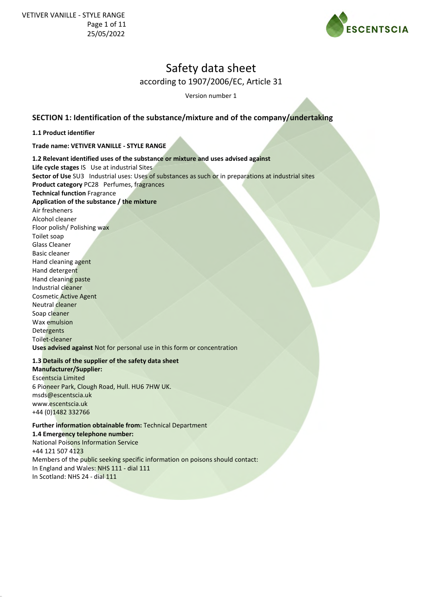

Version number 1

# **SECTION 1: Identification of the substance/mixture and of the company/undertaking**

#### **1.1 Product identifier**

**Trade name: VETIVER VANILLE - STYLE RANGE**

**1.2 Relevant identified uses of the substance or mixture and uses advised against Life cycle stages** IS Use at industrial Sites **Sector of Use** SU3 Industrial uses: Uses of substances as such or in preparations at industrial sites **Product category** PC28 Perfumes, fragrances **Technical function** Fragrance **Application of the substance / the mixture** Air fresheners Alcohol cleaner Floor polish/ Polishing wax Toilet soap Glass Cleaner Basic cleaner Hand cleaning agent Hand detergent Hand cleaning paste Industrial cleaner Cosmetic Active Agent Neutral cleaner Soap cleaner Wax emulsion Detergents Toilet-cleaner **Uses advised against** Not for personal use in this form or concentration

### **1.3 Details of the supplier of the safety data sheet**

**Manufacturer/Supplier:** Escentscia Limited 6 Pioneer Park, Clough Road, Hull. HU6 7HW UK. msds@escentscia.uk www.escentscia.uk +44 (0)1482 332766

### **Further information obtainable from:** Technical Department

**1.4 Emergency telephone number:**

National Poisons Information Service +44 121 507 4123 Members of the public seeking specific information on poisons should contact: In England and Wales: NHS 111 - dial 111 In Scotland: NHS 24 - dial 111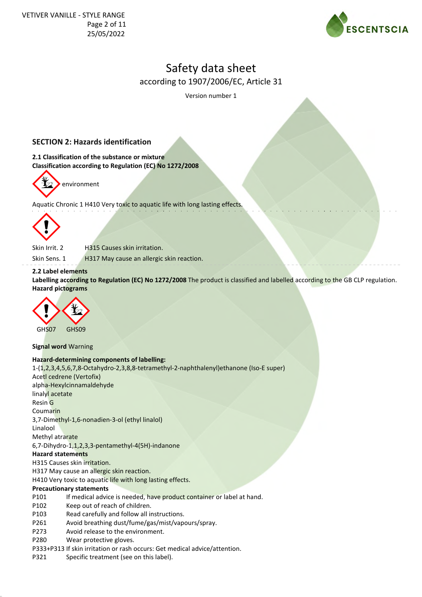

Version number 1

# **SECTION 2: Hazards identification**

**2.1 Classification of the substance or mixture Classification according to Regulation (EC) No 1272/2008**



Aquatic Chronic 1 H410 Very toxic to aquatic life with long lasting effects.



Skin Irrit. 2 H315 Causes skin irritation.

Skin Sens. 1 H317 May cause an allergic skin reaction.

#### **2.2 Label elements**

**Labelling according to Regulation (EC) No 1272/2008** The product is classified and labelled according to the GB CLP regulation. **Hazard pictograms**



**Signal word** Warning

#### **Hazard-determining components of labelling:**

1-(1,2,3,4,5,6,7,8-Octahydro-2,3,8,8-tetramethyl-2-naphthalenyl)ethanone (Iso-E super) Acetl cedrene (Vertofix) alpha-Hexylcinnamaldehyde linalyl acetate Resin G Coumarin 3,7-Dimethyl-1,6-nonadien-3-ol (ethyl linalol) Linalool Methyl atrarate 6,7-Dihydro-1,1,2,3,3-pentamethyl-4(5H)-indanone **Hazard statements** H315 Causes skin irritation. H317 May cause an allergic skin reaction.

## H410 Very toxic to aquatic life with long lasting effects.

#### **Precautionary statements**

- P101 If medical advice is needed, have product container or label at hand.
- P102 Keep out of reach of children.
- P103 Read carefully and follow all instructions.
- P261 Avoid breathing dust/fume/gas/mist/vapours/spray.
- P273 Avoid release to the environment.
- P280 Wear protective gloves.
- P333+P313 If skin irritation or rash occurs: Get medical advice/attention.
- P321 Specific treatment (see on this label).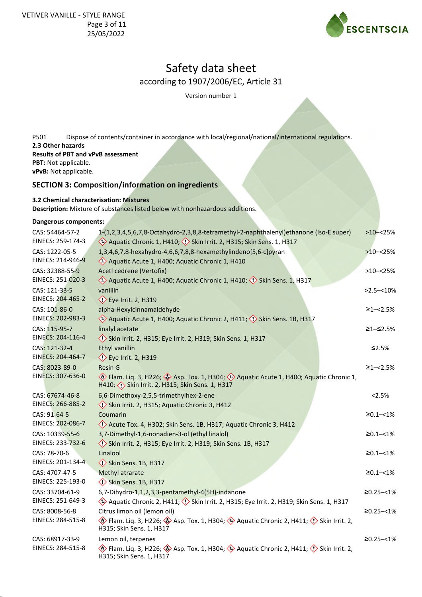

Version number 1

P501 Dispose of contents/container in accordance with local/regional/national/international regulations. **2.3 Other hazards Results of PBT and vPvB assessment PBT:** Not applicable. **vPvB:** Not applicable.

# **SECTION 3: Composition/information on ingredients**

**3.2 Chemical characterisation: Mixtures**

**Description:** Mixture of substances listed below with nonhazardous additions.

#### **Dangerous components:**

| CAS: 54464-57-2<br>EINECS: 259-174-3 | 1-(1,2,3,4,5,6,7,8-Octahydro-2,3,8,8-tetramethyl-2-naphthalenyl)ethanone (Iso-E super)<br>Aquatic Chronic 1, H410; (1) Skin Irrit. 2, H315; Skin Sens. 1, H317                            | $>10 - 25%$       |
|--------------------------------------|-------------------------------------------------------------------------------------------------------------------------------------------------------------------------------------------|-------------------|
| CAS: 1222-05-5<br>EINECS: 214-946-9  | 1,3,4,6,7,8-hexahydro-4,6,6,7,8,8-hexamethylindeno[5,6-c]pyran<br>Aquatic Acute 1, H400; Aquatic Chronic 1, H410                                                                          | $>10 - 25%$       |
| CAS: 32388-55-9<br>EINECS: 251-020-3 | Acetl cedrene (Vertofix)<br>Aquatic Acute 1, H400; Aquatic Chronic 1, H410; (1) Skin Sens. 1, H317                                                                                        | $>10 - 25%$       |
| CAS: 121-33-5<br>EINECS: 204-465-2   | vanillin<br>$\diamondsuit$ Eye Irrit. 2, H319                                                                                                                                             | $>2.5 - 10\%$     |
| CAS: 101-86-0<br>EINECS: 202-983-3   | alpha-Hexylcinnamaldehyde<br>Aquatic Acute 1, H400; Aquatic Chronic 2, H411; (1) Skin Sens. 1B, H317                                                                                      | $≥1 - < 2.5%$     |
| CAS: 115-95-7<br>EINECS: 204-116-4   | linalyl acetate<br>Skin Irrit. 2, H315; Eye Irrit. 2, H319; Skin Sens. 1, H317                                                                                                            | ≥1–≤2.5%          |
| CAS: 121-32-4<br>EINECS: 204-464-7   | <b>Ethyl vanillin</b><br>$\diamondsuit$ Eye Irrit. 2, H319                                                                                                                                | $≤2.5%$           |
| CAS: 8023-89-0<br>EINECS: 307-636-0  | <b>Resin G</b><br>Flam. Liq. 3, H226; Asp. Tox. 1, H304; A Aquatic Acute 1, H400; Aquatic Chronic 1,<br>H410; <>> Skin Irrit. 2, H315; Skin Sens. 1, H317                                 | $≥1 - < 2.5%$     |
| CAS: 67674-46-8<br>EINECS: 266-885-2 | 6,6-Dimethoxy-2,5,5-trimethylhex-2-ene<br>Skin Irrit. 2, H315; Aquatic Chronic 3, H412                                                                                                    | < 2.5%            |
| CAS: 91-64-5<br>EINECS: 202-086-7    | Coumarin<br>Acute Tox. 4, H302; Skin Sens. 1B, H317; Aquatic Chronic 3, H412                                                                                                              | $\geq 0.1 - 1\%$  |
| CAS: 10339-55-6<br>EINECS: 233-732-6 | 3,7-Dimethyl-1,6-nonadien-3-ol (ethyl linalol)<br>Skin Irrit. 2, H315; Eye Irrit. 2, H319; Skin Sens. 1B, H317                                                                            | $\geq 0.1 - 1\%$  |
| CAS: 78-70-6<br>EINECS: 201-134-4    | Linalool<br>Skin Sens. 1B, H317                                                                                                                                                           | $\geq 0.1 - 1\%$  |
| CAS: 4707-47-5<br>EINECS: 225-193-0  | Methyl atrarate<br>Skin Sens. 1B, H317                                                                                                                                                    | $\geq 0.1 - 1\%$  |
| CAS: 33704-61-9<br>EINECS: 251-649-3 | 6,7-Dihydro-1,1,2,3,3-pentamethyl-4(5H)-indanone<br>Aquatic Chronic 2, H411; (!) Skin Irrit. 2, H315; Eye Irrit. 2, H319; Skin Sens. 1, H317                                              | $\geq 0.25 - 1\%$ |
| CAS: 8008-56-8<br>EINECS: 284-515-8  | Citrus limon oil (lemon oil)<br>Flam. Liq. 3, H226; $\diamondsuit$ Asp. Tox. 1, H304; $\diamondsuit$ Aquatic Chronic 2, H411; $\diamondsuit$ Skin Irrit. 2,<br>H315; Skin Sens. 1, H317   | $≥0.25 - <1%$     |
| CAS: 68917-33-9<br>EINECS: 284-515-8 | Lemon oil, terpenes<br>$\circledast$ Flam. Liq. 3, H226; $\circledast$ Asp. Tox. 1, H304; $\circledast$ Aquatic Chronic 2, H411; $\circledast$ Skin Irrit. 2,<br>H315; Skin Sens. 1, H317 | $\geq 0.25 - 1\%$ |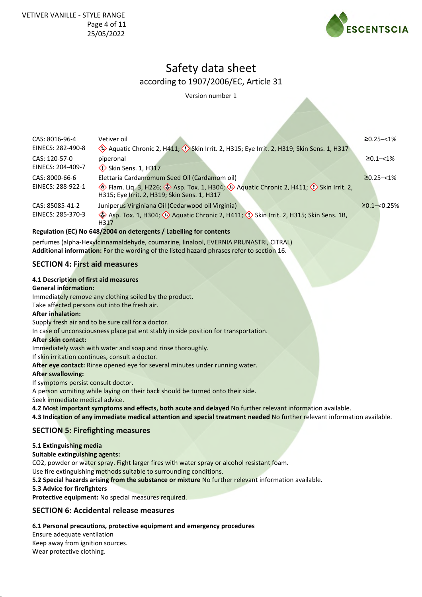

Version number 1

| CAS: 8016-96-4                                                                                                                                                                                                                                                                                                                          | Vetiver oil                                                                                                                                                                                                                                                                                                                                                                                                                                                                                                                                                                                                                                                                     | $≥0.25 - <1%$       |
|-----------------------------------------------------------------------------------------------------------------------------------------------------------------------------------------------------------------------------------------------------------------------------------------------------------------------------------------|---------------------------------------------------------------------------------------------------------------------------------------------------------------------------------------------------------------------------------------------------------------------------------------------------------------------------------------------------------------------------------------------------------------------------------------------------------------------------------------------------------------------------------------------------------------------------------------------------------------------------------------------------------------------------------|---------------------|
| EINECS: 282-490-8                                                                                                                                                                                                                                                                                                                       | Aquatic Chronic 2, H411; (!) Skin Irrit. 2, H315; Eye Irrit. 2, H319; Skin Sens. 1, H317                                                                                                                                                                                                                                                                                                                                                                                                                                                                                                                                                                                        |                     |
| CAS: 120-57-0                                                                                                                                                                                                                                                                                                                           | piperonal                                                                                                                                                                                                                                                                                                                                                                                                                                                                                                                                                                                                                                                                       | $≥0.1 - < 1\%$      |
| EINECS: 204-409-7                                                                                                                                                                                                                                                                                                                       | $\diamondsuit$ Skin Sens. 1, H317                                                                                                                                                                                                                                                                                                                                                                                                                                                                                                                                                                                                                                               |                     |
| CAS: 8000-66-6                                                                                                                                                                                                                                                                                                                          | Elettaria Cardamomum Seed Oil (Cardamom oil)                                                                                                                                                                                                                                                                                                                                                                                                                                                                                                                                                                                                                                    | $\geq 0.25 - 1\%$   |
| EINECS: 288-922-1                                                                                                                                                                                                                                                                                                                       | $\langle \cdot \rangle$ Flam. Liq. 3, H226; $\langle \cdot \rangle$ Asp. Tox. 1, H304; $\langle \cdot \rangle$ Aquatic Chronic 2, H411; $\langle \cdot \rangle$ Skin Irrit. 2,<br>H315; Eye Irrit. 2, H319; Skin Sens. 1, H317                                                                                                                                                                                                                                                                                                                                                                                                                                                  |                     |
| CAS: 85085-41-2                                                                                                                                                                                                                                                                                                                         | Juniperus Virginiana Oil (Cedarwood oil Virginia)                                                                                                                                                                                                                                                                                                                                                                                                                                                                                                                                                                                                                               | $\geq 0.1 - 0.25\%$ |
| EINECS: 285-370-3                                                                                                                                                                                                                                                                                                                       | Asp. Tox. 1, H304; $\leftrightarrow$ Aquatic Chronic 2, H411; $\leftrightarrow$ Skin Irrit. 2, H315; Skin Sens. 1B,<br>H317                                                                                                                                                                                                                                                                                                                                                                                                                                                                                                                                                     |                     |
|                                                                                                                                                                                                                                                                                                                                         | Regulation (EC) No 648/2004 on detergents / Labelling for contents                                                                                                                                                                                                                                                                                                                                                                                                                                                                                                                                                                                                              |                     |
|                                                                                                                                                                                                                                                                                                                                         | perfumes (alpha-Hexylcinnamaldehyde, coumarine, linalool, EVERNIA PRUNASTRI, CITRAL)<br>Additional information: For the wording of the listed hazard phrases refer to section 16.                                                                                                                                                                                                                                                                                                                                                                                                                                                                                               |                     |
| <b>SECTION 4: First aid measures</b>                                                                                                                                                                                                                                                                                                    |                                                                                                                                                                                                                                                                                                                                                                                                                                                                                                                                                                                                                                                                                 |                     |
| 4.1 Description of first aid measures<br><b>General information:</b><br>Take affected persons out into the fresh air.<br><b>After inhalation:</b><br><b>After skin contact:</b><br>If skin irritation continues, consult a doctor.<br><b>After swallowing:</b><br>If symptoms persist consult doctor.<br>Seek immediate medical advice. | Immediately remove any clothing soiled by the product.<br>Supply fresh air and to be sure call for a doctor.<br>In case of unconsciousness place patient stably in side position for transportation.<br>Immediately wash with water and soap and rinse thoroughly.<br>After eye contact: Rinse opened eye for several minutes under running water.<br>A person vomiting while laying on their back should be turned onto their side.<br>4.2 Most important symptoms and effects, both acute and delayed No further relevant information available.<br>4.3 Indication of any immediate medical attention and special treatment needed No further relevant information available. |                     |
| <b>SECTION 5: Firefighting measures</b>                                                                                                                                                                                                                                                                                                 |                                                                                                                                                                                                                                                                                                                                                                                                                                                                                                                                                                                                                                                                                 |                     |
| 5.1 Extinguishing media<br><b>Suitable extinguishing agents:</b>                                                                                                                                                                                                                                                                        | CO2, powder or water spray. Fight larger fires with water spray or alcohol resistant foam.                                                                                                                                                                                                                                                                                                                                                                                                                                                                                                                                                                                      |                     |

Use fire extinguishing methods suitable to surrounding conditions.

**5.2 Special hazards arising from the substance or mixture** No further relevant information available.

**5.3 Advice for firefighters**

**Protective equipment:** No special measures required.

## **SECTION 6: Accidental release measures**

## **6.1 Personal precautions, protective equipment and emergency procedures**

Ensure adequate ventilation Keep away from ignition sources. Wear protective clothing.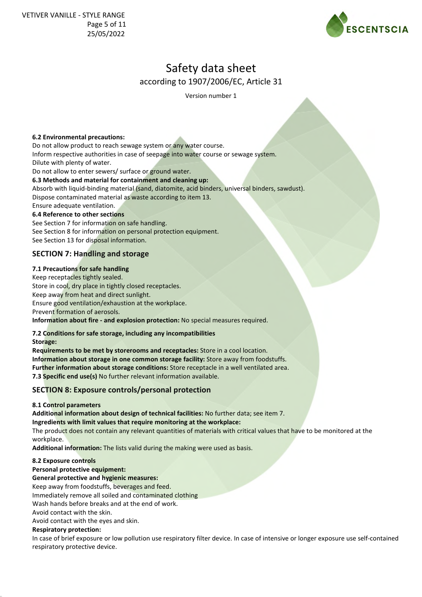

Version number 1

#### **6.2 Environmental precautions:**

Do not allow product to reach sewage system or any water course. Inform respective authorities in case of seepage into water course or sewage system. Dilute with plenty of water.

Do not allow to enter sewers/ surface or ground water.

#### **6.3 Methods and material for containment and cleaning up:**

Absorb with liquid-binding material (sand, diatomite, acid binders, universal binders, sawdust). Dispose contaminated material as waste according to item 13.

Ensure adequate ventilation. **6.4 Reference to other sections**

See Section 7 for information on safe handling. See Section 8 for information on personal protection equipment. See Section 13 for disposal information.

## **SECTION 7: Handling and storage**

#### **7.1 Precautions for safe handling**

Keep receptacles tightly sealed. Store in cool, dry place in tightly closed receptacles. Keep away from heat and direct sunlight. Ensure good ventilation/exhaustion at the workplace. Prevent formation of aerosols. **Information about fire - and explosion protection:** No special measures required.

### **7.2 Conditions for safe storage, including any incompatibilities**

**Storage:**

**Requirements to be met by storerooms and receptacles:** Store in a cool location. **Information about storage in one common storage facility:** Store away from foodstuffs. **Further information about storage conditions:** Store receptacle in a well ventilated area. **7.3 Specific end use(s)** No further relevant information available.

## **SECTION 8: Exposure controls/personal protection**

### **8.1 Control parameters**

**Additional information about design of technical facilities:** No further data; see item 7.

**Ingredients with limit values that require monitoring at the workplace:**

The product does not contain any relevant quantities of materials with critical values that have to be monitored at the workplace.

**Additional information:** The lists valid during the making were used as basis.

### **8.2 Exposure controls**

**Personal protective equipment:**

### **General protective and hygienic measures:**

Keep away from foodstuffs, beverages and feed.

Immediately remove all soiled and contaminated clothing

Wash hands before breaks and at the end of work.

Avoid contact with the skin.

Avoid contact with the eyes and skin.

### **Respiratory protection:**

In case of brief exposure or low pollution use respiratory filter device. In case of intensive or longer exposure use self-contained respiratory protective device.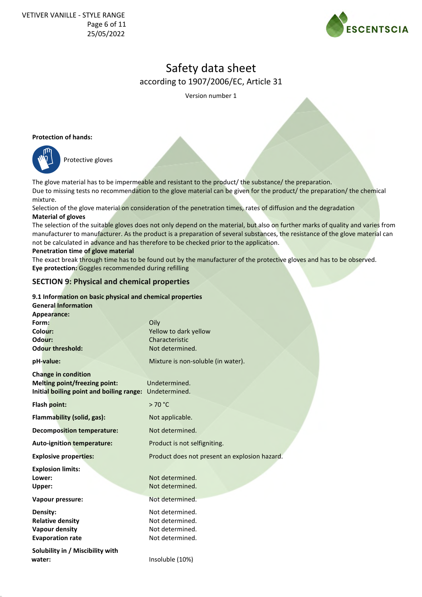

Version number 1

#### **Protection of hands:**



Protective gloves

The glove material has to be impermeable and resistant to the product/ the substance/ the preparation. Due to missing tests no recommendation to the glove material can be given for the product/ the preparation/ the chemical mixture.

Selection of the glove material on consideration of the penetration times, rates of diffusion and the degradation **Material of gloves**

The selection of the suitable gloves does not only depend on the material, but also on further marks of quality and varies from manufacturer to manufacturer. As the product is a preparation of several substances, the resistance of the glove material can not be calculated in advance and has therefore to be checked prior to the application.

#### **Penetration time of glove material**

The exact break through time has to be found out by the manufacturer of the protective gloves and has to be observed. **Eye protection:** Goggles recommended during refilling

### **SECTION 9: Physical and chemical properties**

#### **9.1 Information on basic physical and chemical properties**

| <b>General Information</b><br>Appearance:                                                                                    |                                                                          |
|------------------------------------------------------------------------------------------------------------------------------|--------------------------------------------------------------------------|
| Form:<br>Colour:                                                                                                             | Oily<br>Yellow to dark yellow                                            |
| Odour:                                                                                                                       | Characteristic                                                           |
| <b>Odour threshold:</b>                                                                                                      | Not determined.                                                          |
| pH-value:                                                                                                                    | Mixture is non-soluble (in water).                                       |
| <b>Change in condition</b><br><b>Melting point/freezing point:</b><br>Initial boiling point and boiling range: Undetermined. | Undetermined.                                                            |
| Flash point:                                                                                                                 | >70 °C                                                                   |
| <b>Flammability (solid, gas):</b>                                                                                            | Not applicable.                                                          |
| <b>Decomposition temperature:</b>                                                                                            | Not determined.                                                          |
| Auto-ignition temperature:                                                                                                   | Product is not selfigniting.                                             |
| <b>Explosive properties:</b>                                                                                                 | Product does not present an explosion hazard.                            |
| <b>Explosion limits:</b><br>Lower:<br>Upper:                                                                                 | Not determined.<br>Not determined.                                       |
| Vapour pressure:                                                                                                             | Not determined.                                                          |
| Density:<br><b>Relative density</b><br><b>Vapour density</b><br><b>Evaporation rate</b>                                      | Not determined.<br>Not determined.<br>Not determined.<br>Not determined. |
| Solubility in / Miscibility with<br>water:                                                                                   | Insoluble (10%)                                                          |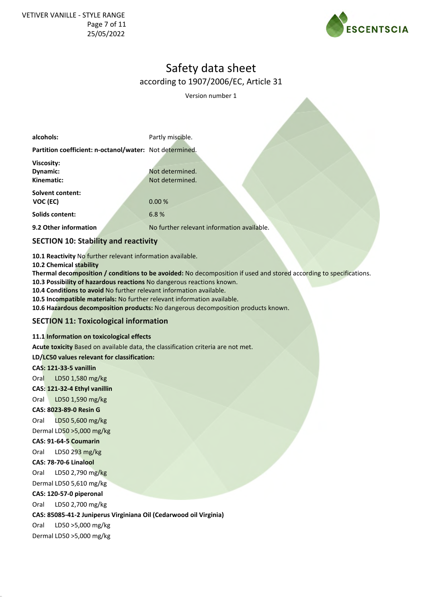

Version number 1

| alcohols:                                               | Partly miscible.                           |
|---------------------------------------------------------|--------------------------------------------|
| Partition coefficient: n-octanol/water: Not determined. |                                            |
| Viscosity:                                              |                                            |
| Dynamic:                                                | Not determined.                            |
| Kinematic:                                              | Not determined.                            |
| <b>Solvent content:</b>                                 |                                            |
| VOC (EC)                                                | 0.00%                                      |
| <b>Solids content:</b>                                  | 6.8%                                       |
| 9.2 Other information                                   | No further relevant information available. |

# **SECTION 10: Stability and reactivity**

**10.1 Reactivity** No further relevant information available.

**10.2 Chemical stability**

**Thermal decomposition / conditions to be avoided:** No decomposition if used and stored according to specifications.

**10.3 Possibility of hazardous reactions** No dangerous reactions known. **10.4 Conditions to avoid** No further relevant information available.

**10.5 Incompatible materials:** No further relevant information available.

**10.6 Hazardous decomposition products:** No dangerous decomposition products known.

### **SECTION 11: Toxicological information**

### **11.1 Information on toxicological effects**

**Acute toxicity** Based on available data, the classification criteria are not met.

**LD/LC50 values relevant for classification:**

**CAS: 121-33-5 vanillin**

Oral LD50 1,580 mg/kg

**CAS: 121-32-4 Ethyl vanillin**

Oral LD50 1,590 mg/kg

#### **CAS: 8023-89-0 Resin G**

Oral LD50 5,600 mg/kg Dermal LD50 >5,000 mg/kg

# **CAS: 91-64-5 Coumarin**

Oral LD50 293 mg/kg

#### **CAS: 78-70-6 Linalool**

Oral LD50 2,790 mg/kg

Dermal LD50 5,610 mg/kg

#### **CAS: 120-57-0 piperonal**

Oral LD50 2,700 mg/kg

**CAS: 85085-41-2 Juniperus Virginiana Oil (Cedarwood oil Virginia)**

Oral LD50 >5,000 mg/kg

Dermal LD50 >5,000 mg/kg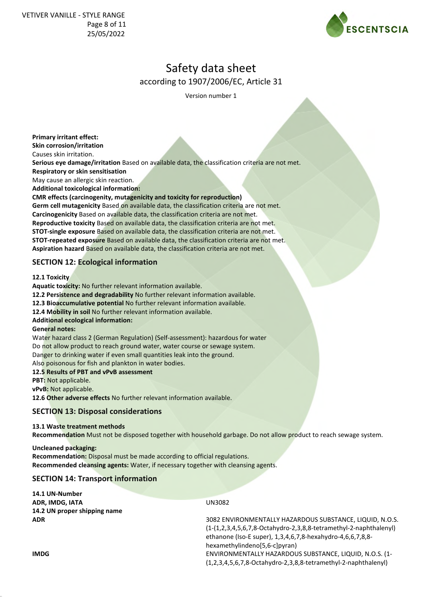

Version number 1

**Primary irritant effect:**

**Skin corrosion/irritation**

Causes skin irritation.

**Serious eye damage/irritation** Based on available data, the classification criteria are not met.

**Respiratory or skin sensitisation**

May cause an allergic skin reaction.

**Additional toxicological information:**

**CMR effects (carcinogenity, mutagenicity and toxicity for reproduction) Germ cell mutagenicity** Based on available data, the classification criteria are not met.

**Carcinogenicity** Based on available data, the classification criteria are not met. **Reproductive toxicity** Based on available data, the classification criteria are not met. **STOT-single exposure** Based on available data, the classification criteria are not met. **STOT-repeated exposure** Based on available data, the classification criteria are not met.

**Aspiration hazard** Based on available data, the classification criteria are not met.

# **SECTION 12: Ecological information**

**12.1 Toxicity**

**Aquatic toxicity:** No further relevant information available.

**12.2 Persistence and degradability** No further relevant information available.

**12.3 Bioaccumulative potential** No further relevant information available.

**12.4 Mobility in soil** No further relevant information available.

### **Additional ecological information:**

#### **General notes:**

Water hazard class 2 (German Regulation) (Self-assessment): hazardous for water Do not allow product to reach ground water, water course or sewage system. Danger to drinking water if even small quantities leak into the ground. Also poisonous for fish and plankton in water bodies.

**12.5 Results of PBT and vPvB assessment**

**PBT:** Not applicable.

**vPvB:** Not applicable.

**12.6 Other adverse effects** No further relevant information available.

## **SECTION 13: Disposal considerations**

### **13.1 Waste treatment methods**

**Recommendation** Must not be disposed together with household garbage. Do not allow product to reach sewage system.

**Uncleaned packaging: Recommendation:** Disposal must be made according to official regulations. **Recommended cleansing agents:** Water, if necessary together with cleansing agents.

# **SECTION 14: Transport information**

| 14.1 UN-Number               |                                                                     |
|------------------------------|---------------------------------------------------------------------|
| ADR, IMDG, IATA              | UN3082                                                              |
| 14.2 UN proper shipping name |                                                                     |
| <b>ADR</b>                   | 3082 ENVIRONMENTALLY HAZARDOUS SUBSTANCE, LIQUID, N.O.S.            |
|                              | $(1-(1,2,3,4,5,6,7,8-Octahydro-2,3,8,8-tetramethyl-2-naphthalenyl)$ |
|                              | ethanone (Iso-E super), 1,3,4,6,7,8-hexahydro-4,6,6,7,8,8-          |
|                              | hexamethylindeno[5,6-c]pyran)                                       |
| <b>IMDG</b>                  | ENVIRONMENTALLY HAZARDOUS SUBSTANCE, LIQUID, N.O.S. (1-             |
|                              | $(1,2,3,4,5,6,7,8$ -Octahydro-2,3,8,8-tetramethyl-2-naphthalenyl)   |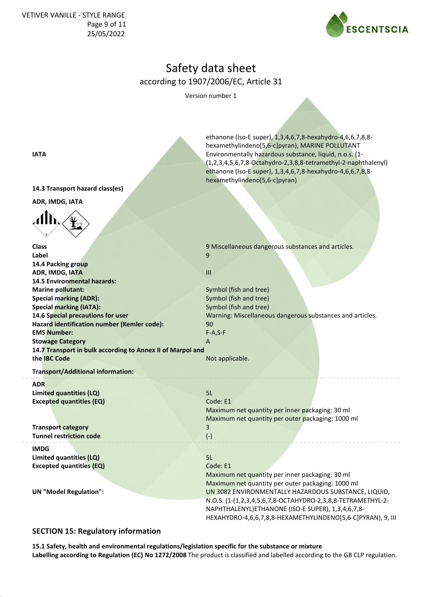VETIVER VANILLE - STYLE RANGE Page 9 of 11 25/05/2022



# Safety data sheet according to 1907/2006/EC, Article 31

Version number 1

ethanone (Iso-E super), 1,3,4,6,7,8-hexahydro-4,6,6,7,8,8 hexamethylindeno[5,6-c]pyran), MARINE POLLUTANT

hexamethylindeno[5,6-c]pyran)

(1,2,3,4,5,6,7,8-Octahydro-2,3,8,8-tetramethyl-2-naphthalenyl) ethanone (Iso-E super), 1,3,4,6,7,8-hexahydro-4,6,6,7,8,8-

**IATA** Environmentally hazardous substance, liquid, n.o.s. (1-

**14.3 Transport hazard class(es)**

**ADR, IMDG, IATA**



| <b>Class</b>                                               | 9 Miscellaneous dangerous substances and articles.          |
|------------------------------------------------------------|-------------------------------------------------------------|
| Label                                                      | 9                                                           |
| 14.4 Packing group                                         |                                                             |
| ADR, IMDG, IATA                                            | III                                                         |
| <b>14.5 Environmental hazards:</b>                         |                                                             |
| <b>Marine pollutant:</b>                                   | Symbol (fish and tree)                                      |
| <b>Special marking (ADR):</b>                              | Symbol (fish and tree)                                      |
| <b>Special marking (IATA):</b>                             | Symbol (fish and tree)                                      |
| 14.6 Special precautions for user                          | Warning: Miscellaneous dangerous substances and articles.   |
| Hazard identification number (Kemler code):                | 90                                                          |
| <b>EMS Number:</b>                                         | $F-A, S-F$                                                  |
| <b>Stowage Category</b>                                    | A                                                           |
| 14.7 Transport in bulk according to Annex II of Marpol and |                                                             |
| the IBC Code                                               | Not applicable.                                             |
| <b>Transport/Additional information:</b>                   |                                                             |
| <b>ADR</b>                                                 |                                                             |
| <b>Limited quantities (LQ)</b>                             | 5L                                                          |
| <b>Excepted quantities (EQ)</b>                            | Code: E1                                                    |
|                                                            | Maximum net quantity per inner packaging: 30 ml             |
|                                                            | Maximum net quantity per outer packaging: 1000 ml           |
| <b>Transport category</b>                                  | 3                                                           |
| <b>Tunnel restriction code</b>                             | $(-)$                                                       |
|                                                            |                                                             |
| <b>IMDG</b>                                                |                                                             |
| Limited quantities (LQ)                                    | 5L                                                          |
| <b>Excepted quantities (EQ)</b>                            | Code: E1                                                    |
|                                                            | Maximum net quantity per inner packaging: 30 ml             |
|                                                            | Maximum net quantity per outer packaging: 1000 ml           |
| <b>UN "Model Regulation":</b>                              | UN 3082 ENVIRONMENTALLY HAZARDOUS SUBSTANCE, LIQUID,        |
|                                                            | N.O.S. (1-(1,2,3,4,5,6,7,8-OCTAHYDRO-2,3,8,8-TETRAMETHYL-2- |
|                                                            | NAPHTHALENYL)ETHANONE (ISO-E SUPER), 1,3,4,6,7,8-           |
|                                                            | HEXAHYDRO-4,6,6,7,8,8-HEXAMETHYLINDENO[5,6-C]PYRAN), 9, III |
|                                                            |                                                             |

## **SECTION 15: Regulatory information**

**15.1 Safety, health and environmental regulations/legislation specific for the substance or mixture Labelling according to Regulation (EC) No 1272/2008** The product is classified and labelled according to the GB CLP regulation.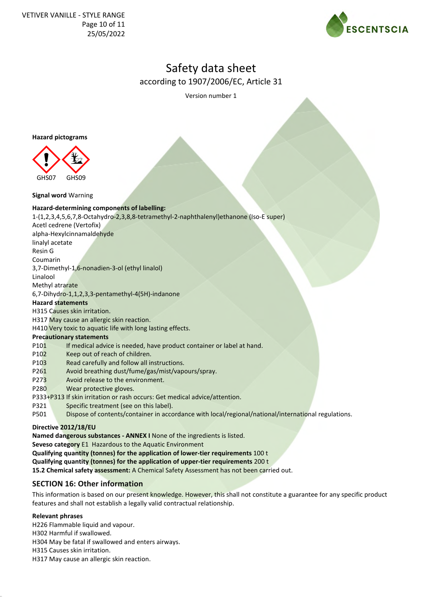

Version number 1

**Hazard pictograms**



**Signal word** Warning

#### **Hazard-determining components of labelling:**

1-(1,2,3,4,5,6,7,8-Octahydro-2,3,8,8-tetramethyl-2-naphthalenyl)ethanone (Iso-E super)

Acetl cedrene (Vertofix)

alpha-Hexylcinnamaldehyde

linalyl acetate

Resin G

Coumarin

3,7-Dimethyl-1,6-nonadien-3-ol (ethyl linalol)

Linalool

Methyl atrarate

6,7-Dihydro-1,1,2,3,3-pentamethyl-4(5H)-indanone

#### **Hazard statements**

H315 Causes skin irritation.

H317 May cause an allergic skin reaction.

H410 Very toxic to aquatic life with long lasting effects.

### **Precautionary statements**

P101 If medical advice is needed, have product container or label at hand.

- P102 Keep out of reach of children.
- P103 Read carefully and follow all instructions.
- P261 Avoid breathing dust/fume/gas/mist/vapours/spray.
- P273 Avoid release to the environment.
- P280 Wear protective gloves.
- P333+P313 If skin irritation or rash occurs: Get medical advice/attention.
- P321 Specific treatment (see on this label).
- P501 Dispose of contents/container in accordance with local/regional/national/international regulations.

### **Directive 2012/18/EU**

**Named dangerous substances - ANNEX I** None of the ingredients is listed.

**Seveso category** E1 Hazardous to the Aquatic Environment

**Qualifying quantity (tonnes) for the application of lower-tier requirements** 100 t

**Qualifying quantity (tonnes) for the application of upper-tier requirements** 200 t

**15.2 Chemical safety assessment:** A Chemical Safety Assessment has not been carried out.

## **SECTION 16: Other information**

This information is based on our present knowledge. However, this shall not constitute a guarantee for any specific product features and shall not establish a legally valid contractual relationship.

### **Relevant phrases**

H226 Flammable liquid and vapour.

H302 Harmful if swallowed.

H304 May be fatal if swallowed and enters airways.

H315 Causes skin irritation.

H317 May cause an allergic skin reaction.